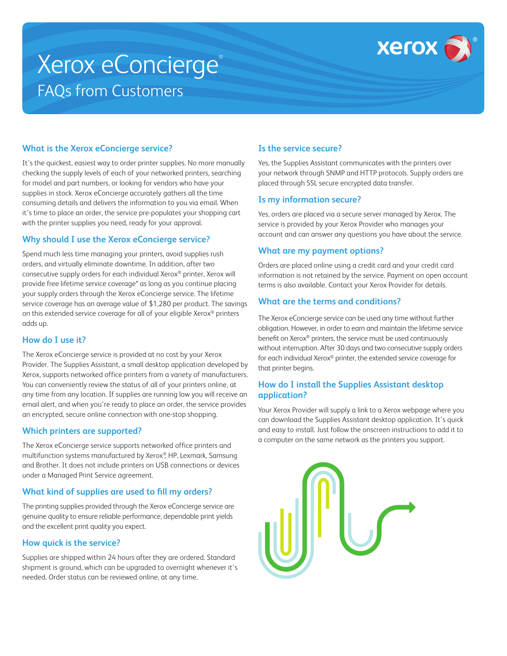

# Xerox eConcierge® FAQs from Customers

## **What is the Xerox eConcierge service?**

It's the quickest, easiest way to order printer supplies. No more manually checking the supply levels of each of your networked printers, searching for model and part numbers, or looking for vendors who have your supplies in stock. Xerox eConcierge accurately gathers all the time consuming details and delivers the information to you via email. When it's time to place an order, the service pre-populates your shopping cart with the printer supplies you need, ready for your approval.

#### **Why should I use the Xerox eConcierge service?**

Spend much less time managing your printers, avoid supplies rush orders, and virtually eliminate downtime. In addition, after two consecutive supply orders for each individual Xerox® printer, Xerox will provide free lifetime service coverage\* as long as you continue placing your supply orders through the Xerox eConcierge service. The lifetime service coverage has an average value of \$1,280 per product. The savings on this extended service coverage for all of your eligible Xerox® printers adds up.

# **How do I use it?**

The Xerox eConcierge service is provided at no cost by your Xerox Provider. The Supplies Assistant, a small desktop application developed by Xerox, supports networked office printers from a variety of manufacturers. You can conveniently review the status of all of your printers online, at any time from any location. If supplies are running low you will receive an email alert, and when you're ready to place an order, the service provides an encrypted, secure online connection with one-stop shopping.

#### **Which printers are supported?**

The Xerox eConcierge service supports networked office printers and multifunction systems manufactured by Xerox®, HP, Lexmark, Samsung and Brother. It does not include printers on USB connections or devices under a Managed Print Service agreement.

# **What kind of supplies are used to fill my orders?**

The printing supplies provided through the Xerox eConcierge service are genuine quality to ensure reliable performance, dependable print yields and the excellent print quality you expect.

#### **How quick is the service?**

Supplies are shipped within 24 hours after they are ordered. Standard shipment is ground, which can be upgraded to overnight whenever it's needed. Order status can be reviewed online, at any time.

# **Is the service secure?**

Yes, the Supplies Assistant communicates with the printers over your network through SNMP and HTTP protocols. Supply orders are placed through SSL secure encrypted data transfer.

#### **Is my information secure?**

Yes, orders are placed via a secure server managed by Xerox. The service is provided by your Xerox Provider who manages your account and can answer any questions you have about the service.

## **What are my payment options?**

Orders are placed online using a credit card and your credit card information is not retained by the service. Payment on open account terms is also available. Contact your Xerox Provider for details.

## **What are the terms and conditions?**

The Xerox eConcierge service can be used any time without further obligation. However, in order to earn and maintain the lifetime service benefit on Xerox® printers, the service must be used continuously without interruption. After 30 days and two consecutive supply orders for each individual Xerox® printer, the extended service coverage for that printer begins.

## **How do I install the Supplies Assistant desktop application?**

Your Xerox Provider will supply a link to a Xerox webpage where you can download the Supplies Assistant desktop application. It's quick and easy to install. Just follow the onscreen instructions to add it to a computer on the same network as the printers you support.